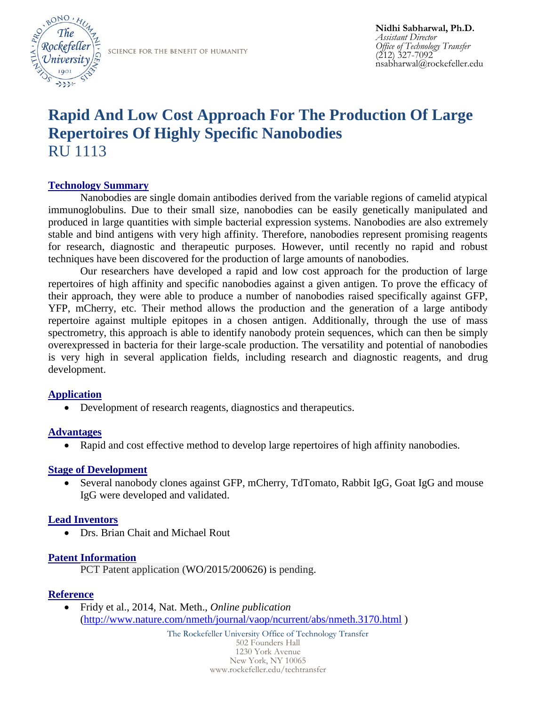

SCIENCE FOR THE BENEFIT OF HUMANITY

# **Rapid And Low Cost Approach For The Production Of Large Repertoires Of Highly Specific Nanobodies**  RU 1113

## **Technology Summary**

Nanobodies are single domain antibodies derived from the variable regions of camelid atypical immunoglobulins. Due to their small size, nanobodies can be easily genetically manipulated and produced in large quantities with simple bacterial expression systems. Nanobodies are also extremely stable and bind antigens with very high affinity. Therefore, nanobodies represent promising reagents for research, diagnostic and therapeutic purposes. However, until recently no rapid and robust techniques have been discovered for the production of large amounts of nanobodies.

Our researchers have developed a rapid and low cost approach for the production of large repertoires of high affinity and specific nanobodies against a given antigen. To prove the efficacy of their approach, they were able to produce a number of nanobodies raised specifically against GFP, YFP, mCherry, etc. Their method allows the production and the generation of a large antibody repertoire against multiple epitopes in a chosen antigen. Additionally, through the use of mass spectrometry, this approach is able to identify nanobody protein sequences, which can then be simply overexpressed in bacteria for their large-scale production. The versatility and potential of nanobodies is very high in several application fields, including research and diagnostic reagents, and drug development.

### **Application**

• Development of research reagents, diagnostics and therapeutics.

### **Advantages**

Rapid and cost effective method to develop large repertoires of high affinity nanobodies.

### **Stage of Development**

 Several nanobody clones against GFP, mCherry, TdTomato, Rabbit IgG, Goat IgG and mouse IgG were developed and validated.

### **Lead Inventors**

Drs. Brian Chait and Michael Rout

### **Patent Information**

PCT Patent application (WO/2015/200626) is pending.

### **Reference**

 Fridy et al., 2014, Nat. Meth., *Online publication* [\(http://www.nature.com/nmeth/journal/vaop/ncurrent/abs/nmeth.3170.html](http://www.nature.com/nmeth/journal/vaop/ncurrent/abs/nmeth.3170.html) )

> The Rockefeller University Office of Technology Transfer 502 Founders Hall 1230 York Avenue New York, NY 10065 www.rockefeller.edu/techtransfer